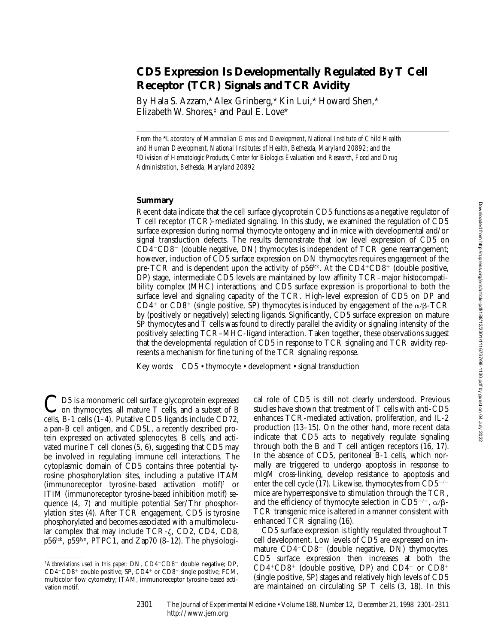# **CD5 Expression Is Developmentally Regulated By T Cell Receptor (TCR) Signals and TCR Avidity**

By Hala S. Azzam,\* Alex Grinberg,\* Kin Lui,\* Howard Shen,\* Elizabeth W. Shores, $\frac{1}{2}$  and Paul E. Love\*

*From the* \**Laboratory of Mammalian Genes and Development, National Institute of Child Health and Human Development, National Institutes of Health, Bethesda, Maryland 20892; and the*  ‡*Division of Hematologic Products, Center for Biologics Evaluation and Research, Food and Drug Administration, Bethesda, Maryland 20892*

## **Summary**

Recent data indicate that the cell surface glycoprotein CD5 functions as a negative regulator of T cell receptor (TCR)-mediated signaling. In this study, we examined the regulation of CD5 surface expression during normal thymocyte ontogeny and in mice with developmental and/or signal transduction defects. The results demonstrate that low level expression of CD5 on  $CD4$ <sup>-</sup> $CD8$ <sup>-</sup> (double negative, DN) thymocytes is independent of TCR gene rearrangement; however, induction of CD5 surface expression on DN thymocytes requires engagement of the pre-TCR and is dependent upon the activity of  $p56$ <sup>kk</sup>. At the  $CD4^+CD8^+$  (double positive, DP) stage, intermediate CD5 levels are maintained by low affinity TCR–major histocompatibility complex (MHC) interactions, and CD5 surface expression is proportional to both the surface level and signaling capacity of the TCR. High-level expression of CD5 on DP and  $CD4^+$  or  $CD8^+$  (single positive, SP) thymocytes is induced by engagement of the  $\alpha/\beta$ -TCR by (positively or negatively) selecting ligands. Significantly, CD5 surface expression on mature SP thymocytes and T cells was found to directly parallel the avidity or signaling intensity of the positively selecting TCR–MHC-ligand interaction. Taken together, these observations suggest that the developmental regulation of CD5 in response to TCR signaling and TCR avidity represents a mechanism for fine tuning of the TCR signaling response.

Key words: CD5 • thymocyte • development • signal transduction

CD5 is a monomeric cell surface glycoprotein expressed<br>on thymocytes, all mature T cells, and a subset of B cells, B-1 cells (1–4). Putative CD5 ligands include CD72, a pan-B cell antigen, and CD5L, a recently described protein expressed on activated splenocytes, B cells, and activated murine T cell clones (5, 6), suggesting that CD5 may be involved in regulating immune cell interactions. The cytoplasmic domain of CD5 contains three potential tyrosine phosphorylation sites, including a putative ITAM  $(immunoreceptor$  tyrosine-based activation motif)<sup>1</sup> or ITIM (immunoreceptor tyrosine-based inhibition motif) sequence (4, 7) and multiple potential Ser/Thr phosphorylation sites (4). After TCR engagement, CD5 is tyrosine phosphorylated and becomes associated with a multimolecular complex that may include  $TCR-\zeta$ ,  $CD2$ ,  $CD4$ ,  $CD8$ , p56lck, p59fyn, PTPC1, and Zap70 (8–12). The physiological role of CD5 is still not clearly understood. Previous studies have shown that treatment of T cells with anti-CD5 enhances TCR-mediated activation, proliferation, and IL-2 production (13–15). On the other hand, more recent data indicate that CD5 acts to negatively regulate signaling through both the B and T cell antigen receptors (16, 17). In the absence of CD5, peritoneal B-1 cells, which normally are triggered to undergo apoptosis in response to mIgM cross-linking, develop resistance to apoptosis and enter the cell cycle (17). Likewise, thymocytes from  $CD5^{-/-}$ mice are hyperresponsive to stimulation through the TCR, and the efficiency of thymocyte selection in CD5<sup>-/-</sup>,  $\alpha/\beta$ -TCR transgenic mice is altered in a manner consistent with enhanced TCR signaling (16).

CD5 surface expression is tightly regulated throughout T cell development. Low levels of CD5 are expressed on immature  $CD4$ <sup>-</sup> $CD8$ <sup>-</sup> (double negative, DN) thymocytes. CD5 surface expression then increases at both the  $CD4+CD8$ <sup>+</sup> (double positive, DP) and  $CD4$ <sup>+</sup> or  $CD8$ <sup>+</sup> (single positive, SP) stages and relatively high levels of CD5 are maintained on circulating SP T cells (3, 18). In this

<sup>&</sup>lt;sup>1</sup>Abbreviations used in this paper: DN, CD4<sup>-</sup>CD8<sup>-</sup> double negative; DP, CD4+CD8+ double positive; SP, CD4+ or CD8+ single positive; FCM, multicolor flow cytometry; ITAM, immunoreceptor tyrosine-based activation motif.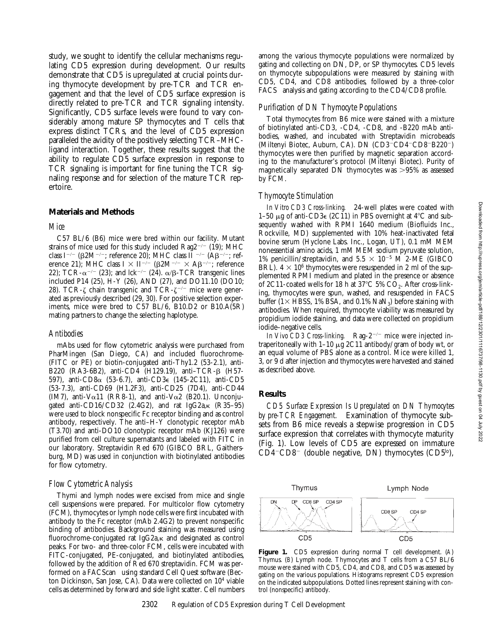study, we sought to identify the cellular mechanisms regulating CD5 expression during development. Our results demonstrate that CD5 is upregulated at crucial points during thymocyte development by pre-TCR and TCR engagement and that the level of CD5 surface expression is directly related to pre-TCR and TCR signaling intensity. Significantly, CD5 surface levels were found to vary considerably among mature SP thymocytes and T cells that express distinct TCRs, and the level of CD5 expression paralleled the avidity of the positively selecting TCR–MHCligand interaction. Together, these results suggest that the ability to regulate CD5 surface expression in response to TCR signaling is important for fine tuning the TCR signaling response and for selection of the mature TCR repertoire.

## **Materials and Methods**

#### *Mice*

C57 BL/6 (B6) mice were bred within our facility. Mutant strains of mice used for this study included Rag2 $^{-/-}$  (19); MHC class I<sup>-/-</sup> ( $\beta$ 2M<sup>-/-</sup>; reference 20); MHC class II <sup>-/-</sup> (A $\beta$ <sup>-/-</sup>; reference 21); MHC class I  $\times$  II<sup>-/-</sup> ( $\beta$ 2M<sup>-/-</sup>  $\times$  A $\beta$ <sup>-/-</sup>; reference 22); TCR- $\alpha$ <sup>-/-</sup> (23); and lck<sup>-/-</sup> (24).  $\alpha/\beta$ -TCR transgenic lines included P14 (25), H-Y (26), AND (27), and DO11.10 (DO10; 28). TCR- $\zeta$  chain transgenic and TCR- $\zeta$ <sup>-/-</sup> mice were generated as previously described (29, 30). For positive selection experiments, mice were bred to C57 BL/6, B10.D2 or B10.A(5R) mating partners to change the selecting haplotype.

#### *Antibodies*

mAbs used for flow cytometric analysis were purchased from PharMingen (San Diego, CA) and included fluorochrome- (FITC or PE) or biotin-conjugated anti-Thy1.2 (53-2.1), anti-B220 (RA3-6B2), anti-CD4 (H129.19), anti–TCR-b (H57- 597), anti-CD8a (53-6.7), anti-CD3e (145-2C11), anti-CD5 (53-7.3), anti-CD69 (H1.2F3), anti-CD25 (7D4), anti-CD44 (IM7), anti-V $\alpha$ 11 (RR8-1), and anti-V $\alpha$ 2 (B20.1). Unconjugated anti-CD16/CD32 (2.4G2), and rat  $IgG2a,\kappa$  (R35–95) were used to block nonspecific Fc receptor binding and as control antibody, respectively. The anti–H-Y clonotypic receptor mAb (T3.70) and anti-DO10 clonotypic receptor mAb (KJ126) were purified from cell culture supernatants and labeled with FITC in our laboratory. Streptavidin Red 670 (GIBCO BRL, Gaithersburg, MD) was used in conjunction with biotinylated antibodies for flow cytometry.

#### *Flow Cytometric Analysis*

Thymi and lymph nodes were excised from mice and single cell suspensions were prepared. For multicolor flow cytometry (FCM), thymocytes or lymph node cells were first incubated with antibody to the Fc receptor (mAb 2.4G2) to prevent nonspecific binding of antibodies. Background staining was measured using fluorochrome-conjugated rat  $I_{\alpha}G_{2a,K}$  and designated as control peaks. For two- and three-color FCM, cells were incubated with FITC-conjugated, PE-conjugated, and biotinylated antibodies, followed by the addition of Red 670 streptavidin. FCM was performed on a FACScan<sup>®</sup> using standard Cell Quest software (Becton Dickinson, San Jose, CA). Data were collected on 104 viable cells as determined by forward and side light scatter. Cell numbers

## *Purification of DN Thymocyte Populations*

Total thymocytes from B6 mice were stained with a mixture of biotinylated anti-CD3, -CD4, -CD8, and -B220 mAb antibodies, washed, and incubated with Streptavidin microbeads (Miltenyi Biotec, Auburn, CA). DN  $(CD3-CD4-CD8-B220^{-})$ thymocytes were then purified by magnetic separation according to the manufacturer's protocol (Miltenyi Biotec). Purity of magnetically separated DN thymocytes was  $>95\%$  as assessed by FCM.

## *Thymocyte Stimulation*

*In Vitro CD3 Cross-linking.* 24-well plates were coated with 1–50  $\mu$ g of anti-CD3 $\epsilon$  (2C11) in PBS overnight at 4°C and subsequently washed with RPMI 1640 medium (Biofluids Inc., Rockville, MD) supplemented with 10% heat-inactivated fetal bovine serum (Hyclone Labs. Inc., Logan, UT), 0.1 mM MEM nonessential amino acids, 1 mM MEM sodium pyruvate solution, 1% penicillin/streptavidin, and  $5.5 \times 10^{-5}$  M 2-ME (GIBCO BRL).  $4 \times 10^6$  thymocytes were resuspended in 2 ml of the supplemented RPMI medium and plated in the presence or absence of 2C11-coated wells for 18 h at 37 $^{\circ}$ C 5% CO<sub>2</sub>. After cross-linking, thymocytes were spun, washed, and resuspended in FACS buffer ( $1\times$  HBSS, 1% BSA, and 0.1% NaN<sub>3</sub>) before staining with antibodies. When required, thymocyte viability was measured by propidium iodide staining, and data were collected on propidium iodide–negative cells.

*In Vivo CD3 Cross-linking.* Rag-2<sup>-/-</sup> mice were injected intraperitoneally with  $1-10 \mu g$  2C11 antibody/gram of body wt, or an equal volume of PBS alone as a control. Mice were killed 1, 3, or 9 d after injection and thymocytes were harvested and stained as described above.

#### **Results**

*CD5 Surface Expression Is Upregulated on DN Thymocytes by pre-TCR Engagement.* Examination of thymocyte subsets from B6 mice reveals a stepwise progression in CD5 surface expression that correlates with thymocyte maturity (Fig. 1). Low levels of CD5 are expressed on immature  $CD4$ <sup>-</sup> $CD8$ <sup>-</sup> (double negative, DN) thymocytes (CD5<sup>lo</sup>),



**Figure 1.** CD5 expression during normal T cell development. (*A*) Thymus. (*B*) Lymph node. Thymocytes and T cells from a C57 BL/6 mouse were stained with CD5, CD4, and CD8, and CD5 was assessed by gating on the various populations. Histograms represent CD5 expression on the indicated subpopulations. Dotted lines represent staining with control (nonspecific) antibody.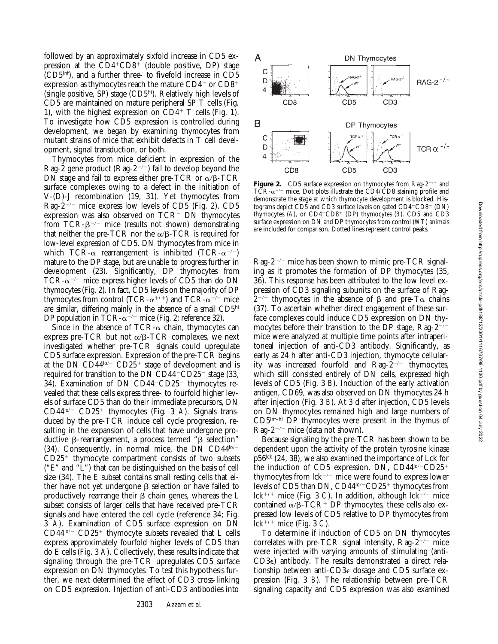followed by an approximately sixfold increase in CD5 expression at the  $CD4+CD8$ <sup>+</sup> (double positive, DP) stage (CD5int), and a further three- to fivefold increase in CD5 expression as thymocytes reach the mature  $CD4^+$  or  $CD8^+$ (single positive, SP) stage (CD5hi). Relatively high levels of CD5 are maintained on mature peripheral SP T cells (Fig. 1), with the highest expression on  $CD4^+$  T cells (Fig. 1). To investigate how CD5 expression is controlled during development, we began by examining thymocytes from mutant strains of mice that exhibit defects in T cell development, signal transduction, or both.

Thymocytes from mice deficient in expression of the Rag-2 gene product (Rag- $2^{-/-}$ ) fail to develop beyond the DN stage and fail to express either pre-TCR or  $\alpha/\beta$ -TCR surface complexes owing to a defect in the initiation of V-(D)-J recombination (19, 31). Yet thymocytes from Rag- $2^{-/-}$  mice express low levels of CD5 (Fig. 2). CD5 expression was also observed on  $TCR$ <sup>-</sup> DN thymocytes from  $TCR - \beta^{-/-}$  mice (results not shown) demonstrating that neither the pre-TCR nor the  $\alpha$ / $\beta$ -TCR is required for low-level expression of CD5. DN thymocytes from mice in which TCR- $\alpha$  rearrangement is inhibited (TCR- $\alpha^{-/-}$ ) mature to the DP stage, but are unable to progress further in development (23). Significantly, DP thymocytes from TCR- $\alpha$ <sup>-/-</sup> mice express higher levels of CD5 than do DN thymocytes (Fig. 2). In fact, CD5 levels on the majority of DP thymocytes from control (TCR- $\alpha^{+/+}$ ) and TCR- $\alpha^{-/-}$  mice are similar, differing mainly in the absence of a small CD5hi DP population in TCR- $\alpha^{-/-}$  mice (Fig. 2; reference 32).

Since in the absence of  $TCR-\alpha$  chain, thymocytes can express pre-TCR but not  $\alpha/\beta$ -TCR complexes, we next investigated whether pre-TCR signals could upregulate CD5 surface expression. Expression of the pre-TCR begins at the DN  $CD44^{\text{lo}-}$  CD25<sup>+</sup> stage of development and is required for transition to the DN CD44 $\text{-}$ CD25 $\text{-}$  stage (33, 34). Examination of DN  $CD44$ <sup>-</sup> $CD25$ <sup>-</sup> thymocytes revealed that these cells express three- to fourfold higher levels of surface CD5 than do their immediate precursors, DN CD44<sup>lo/-</sup> CD25<sup>+</sup> thymocytes (Fig. 3 *A*). Signals transduced by the pre-TCR induce cell cycle progression, resulting in the expansion of cells that have undergone productive  $\beta$ -rearrangement, a process termed " $\beta$  selection" (34). Consequently, in normal mice, the DN CD4 $4^{\log_{10}}$  $CD25<sup>+</sup>$  thymocyte compartment consists of two subsets ("E" and "L") that can be distinguished on the basis of cell size (34). The E subset contains small resting cells that either have not yet undergone  $\beta$  selection or have failed to productively rearrange their  $\beta$  chain genes, whereas the L subset consists of larger cells that have received pre-TCR signals and have entered the cell cycle (reference 34; Fig. 3 *A*). Examination of CD5 surface expression on DN  $CD44^{10/-}$  CD25<sup>+</sup> thymocyte subsets revealed that L cells express approximately fourfold higher levels of CD5 than do E cells (Fig. 3 *A*). Collectively, these results indicate that signaling through the pre-TCR upregulates CD5 surface expression on DN thymocytes. To test this hypothesis further, we next determined the effect of CD3 cross-linking on CD5 expression. Injection of anti-CD3 antibodies into



**Figure 2.** CD5 surface expression on thymocytes from Rag- $2^{-/-}$  and  $TCR-\alpha^{-/-}$  mice. Dot plots illustrate the  $\text{CD}4/\text{CD}8$  staining profile and demonstrate the stage at which thymocyte development is blocked. Histograms depict  $CD\bar{5}$  and  $CD3$  surface levels on gated  $CD4$ <sup>- $CD8$ </sub><sup>-</sup> (DN)</sup> thymocytes  $(A)$ , or  $CD4+CD8$ <sup>+</sup> (DP) thymocytes  $(B)$ . CD5 and CD3 surface expression on DN and DP thymocytes from control (*WT*) animals are included for comparison. Dotted lines represent control peaks.

 $\text{Rag-2}^{-/-}$  mice has been shown to mimic pre-TCR signaling as it promotes the formation of DP thymocytes (35, 36). This response has been attributed to the low level expression of CD3 signaling subunits on the surface of Rag- $2^{-/-}$  thymocytes in the absence of  $\beta$  and pre-T $\alpha$  chains (37). To ascertain whether direct engagement of these surface complexes could induce CD5 expression on DN thymocytes before their transition to the DP stage, Rag- $2^{-/-}$ mice were analyzed at multiple time points after intraperitoneal injection of anti-CD3 antibody. Significantly, as early as 24 h after anti-CD3 injection, thymocyte cellularity was increased fourfold and  $\text{Rag-2}^{-/-}$  thymocytes, which still consisted entirely of DN cells, expressed high levels of CD5 (Fig. 3 *B*). Induction of the early activation antigen, CD69, was also observed on DN thymocytes 24 h after injection (Fig. 3 *B*). At 3 d after injection, CD5 levels on DN thymocytes remained high and large numbers of CD5int–hi DP thymocytes were present in the thymus of Rag-2<sup>-/-</sup> mice (data not shown).

Because signaling by the pre-TCR has been shown to be dependent upon the activity of the protein tyrosine kinase  $p56<sup>lck</sup>$  (24, 38), we also examined the importance of Lck for the induction of CD5 expression. DN, CD44lo/-CD25+ thymocytes from  $\text{lck}^{-/-}$  mice were found to express lower levels of CD5 than DN,  $CD44^{\text{lo}-}CD25^+$  thymocytes from lck<sup>+/+</sup> mice (Fig. 3 *C*). In addition, although lck<sup> $-/-$ </sup> mice contained  $\alpha/\beta$ -TCR<sup>+</sup> DP thymocytes, these cells also expressed low levels of CD5 relative to DP thymocytes from lck<sup>+/+</sup> mice (Fig. 3 *C*).

To determine if induction of CD5 on DN thymocytes correlates with pre-TCR signal intensity,  $\text{Rag-2}^{-/-}$  mice were injected with varying amounts of stimulating (anti-CD3e) antibody. The results demonstrated a direct relationship between anti-CD3e dosage and CD5 surface expression (Fig. 3 *B*). The relationship between pre-TCR signaling capacity and CD5 expression was also examined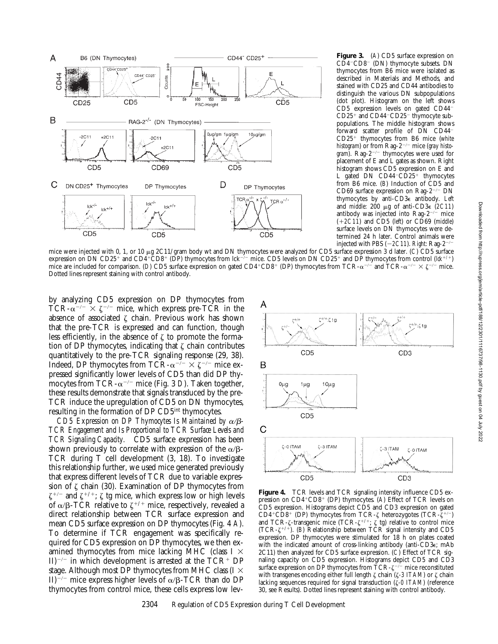

**Figure 3.** (*A*) CD5 surface expression on CD4<sup>-</sup>CD8<sup>-</sup> (DN) thymocyte subsets. DN thymocytes from B6 mice were isolated as described in Materials and Methods, and stained with CD25 and CD44 antibodies to distinguish the various DN subpopulations (dot plot). Histogram on the left shows  $CD5$  expression levels on gated  $CD44<sup>-</sup>$  $CD25<sup>+</sup>$  and  $CD44$ <sup>-</sup> $CD25<sup>-</sup>$  thymocyte subpopulations. The middle histogram shows forward scatter profile of DN CD44<sup>-</sup> CD25<sup>+</sup> thymocytes from B6 mice (white *histogram*) or from Rag-2<sup>-/-</sup> mice (*gray histogram*). Rag-2<sup>-/-</sup> thymocytes were used for placement of E and L gates as shown. Right histogram shows CD5 expression on E and L gated DN  $CD44-CD25^+$  thymocytes from B6 mice. (*B*) Induction of CD5 and CD69 surface expression on Rag- $2^{-/-}$  DN thymocytes by anti-CD3e antibody. *Left* and *middle*: 200 μg of anti-CD3ε (2C11) antibody was injected into Rag- $2^{-/-}$  mice  $(+2C11)$  and CD5 (*left*) or CD69 (*middle*) surface levels on DN thymocytes were determined 24 h later. Control animals were injected with PBS  $(-2C11)$ . *Right*: Rag-2<sup>-/-</sup>

mice were injected with 0, 1, or 10 µg 2C11/gram body wt and DN thymocytes were analyzed for CD5 surface expression 3 d later. (*C*) CD5 surface expression on DN CD25<sup>+</sup> and CD4<sup>+</sup>CD8<sup>+</sup> (DP) thymocytes from lck<sup>-/-</sup> mice. CD5 levels on DN CD25<sup>+</sup> and DP thymocytes from control ( $lck^{+/+}$ ) mice are included for comparison. (*D*) CD5 surface expression on gated CD4<sup>+</sup>CD8<sup>+</sup> (DP) thymocytes from TCR- $\alpha^{-/-}$  and TCR- $\alpha^{-/-} \times \zeta^{-/-}$  mice. Dotted lines represent staining with control antibody.

by analyzing CD5 expression on DP thymocytes from TCR- $\alpha^{-/-} \times \zeta^{-/-}$  mice, which express pre-TCR in the absence of associated  $\zeta$  chain. Previous work has shown that the pre-TCR is expressed and can function, though less efficiently, in the absence of  $\zeta$  to promote the formation of DP thymocytes, indicating that  $\zeta$  chain contributes quantitatively to the pre-TCR signaling response (29, 38). Indeed, DP thymocytes from TCR- $\alpha^{-/-} \times \zeta^{-/-}$  mice expressed significantly lower levels of CD5 than did DP thymocytes from TCR- $\alpha$ <sup>-/-</sup> mice (Fig. 3 *D*). Taken together, these results demonstrate that signals transduced by the pre-TCR induce the upregulation of CD5 on DN thymocytes, resulting in the formation of DP CD5int thymocytes.

CD5 Expression on DP Thymocytes Is Maintained by  $\alpha/\beta$ -*TCR Engagement and Is Proportional to TCR Surface Levels and TCR Signaling Capacity.* CD5 surface expression has been shown previously to correlate with expression of the  $\alpha/\beta$ -TCR during T cell development (3, 18). To investigate this relationship further, we used mice generated previously that express different levels of TCR due to variable expression of  $\zeta$  chain (30). Examination of DP thymocytes from  $\zeta^{+/-}$  and  $\zeta^{+/+}$ ;  $\zeta$  tg mice, which express low or high levels of  $\alpha/\beta$ -TCR relative to  $\zeta^{+/+}$  mice, respectively, revealed a direct relationship between TCR surface expression and mean CD5 surface expression on DP thymocytes (Fig. 4 *A*). To determine if TCR engagement was specifically required for CD5 expression on DP thymocytes, we then examined thymocytes from mice lacking MHC (class  $I \times$ II)<sup> $-/-$ </sup> in which development is arrested at the TCR<sup>+</sup> DP stage. Although most DP thymocytes from MHC class (I  $\times$ II)<sup>-/-</sup> mice express higher levels of  $\alpha/\beta$ -TCR than do DP thymocytes from control mice, these cells express low lev-



**Figure 4.** TCR levels and TCR signaling intensity influence CD5 expression on CD4<sup>+</sup>CD8<sup>+</sup> (DP) thymocytes. (A) Effect of TCR levels on CD5 expression. Histograms depict CD5 and CD3 expression on gated CD4+CD8+ (DP) thymocytes from TCR- $\zeta$  heterozygotes (TCR- $\zeta^{+/-}$ ) and TCR- $\zeta$ -transgenic mice (TCR- $\zeta^{+/-}$ ;  $\zeta$  tg) relative to control mice (TCR- $\zeta^{+/+}$ ). (*B*) Relationship between TCR signal intensity and CD5 expression. DP thymocytes were stimulated for 18 h on plates coated with the indicated amount of cross-linking antibody (anti-CD3e; mAb 2C11) then analyzed for CD5 surface expression. (*C*) Effect of TCR signaling capacity on CD5 expression. Histograms depict CD5 and CD3 surface expression on DP thymocytes from  $\text{TCR-}\zeta^{-/-}$  mice reconstituted with transgenes encoding either full length ζ chain (ζ-3 ITAM) or ζ chain lacking sequences required for signal transduction (z*-0 ITAM*) (reference 30, see Results). Dotted lines represent staining with control antibody.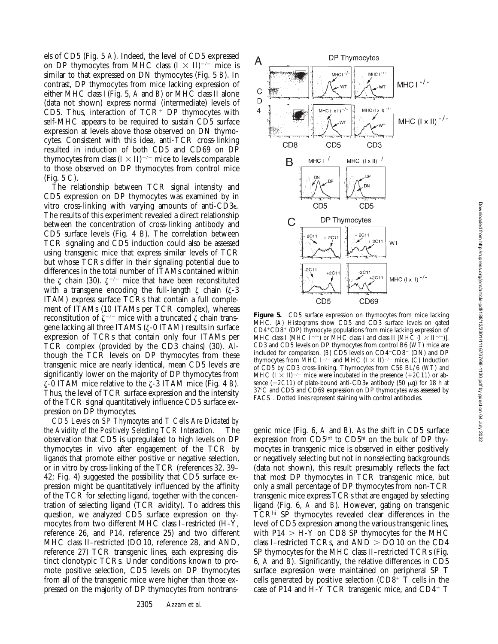els of CD5 (Fig. 5 *A*). Indeed, the level of CD5 expressed on DP thymocytes from MHC class  $(I \times II)^{-/-}$  mice is similar to that expressed on DN thymocytes (Fig. 5 *B*). In contrast, DP thymocytes from mice lacking expression of either MHC class I (Fig. 5, *A* and *B*) or MHC class II alone (data not shown) express normal (intermediate) levels of CD5. Thus, interaction of  $TCR<sup>+</sup> DP$  thymocytes with self-MHC appears to be required to sustain CD5 surface expression at levels above those observed on DN thymocytes. Consistent with this idea, anti-TCR cross-linking resulted in induction of both CD5 and CD69 on DP thymocytes from class  $(I \times II)^{-/-}$  mice to levels comparable to those observed on DP thymocytes from control mice (Fig. 5 *C*).

The relationship between TCR signal intensity and CD5 expression on DP thymocytes was examined by in vitro cross-linking with varying amounts of anti-CD3e. The results of this experiment revealed a direct relationship between the concentration of cross-linking antibody and CD5 surface levels (Fig. 4 *B*). The correlation between TCR signaling and CD5 induction could also be assessed using transgenic mice that express similar levels of TCR but whose TCRs differ in their signaling potential due to differences in the total number of ITAMs contained within the  $\zeta$  chain (30).  $\zeta^{-/-}$  mice that have been reconstituted with a transgene encoding the full-length  $\zeta$  chain ( $\zeta$ -3 ITAM) express surface TCRs that contain a full complement of ITAMs (10 ITAMs per TCR complex), whereas reconstitution of  $\zeta^{-/-}$  mice with a truncated  $\zeta$  chain transgene lacking all three ITAMS (z-0 ITAM) results in surface expression of TCRs that contain only four ITAMs per TCR complex (provided by the CD3 chains) (30). Although the TCR levels on DP thymocytes from these transgenic mice are nearly identical, mean CD5 levels are significantly lower on the majority of DP thymocytes from z-0 ITAM mice relative to the z-3 ITAM mice (Fig. 4 *B*). Thus, the level of TCR surface expression and the intensity of the TCR signal quantitatively influence CD5 surface expression on DP thymocytes.

*CD5 Levels on SP Thymocytes and T Cells Are Dictated by the Avidity of the Positively Selecting TCR Interaction.* The observation that CD5 is upregulated to high levels on DP thymocytes in vivo after engagement of the TCR by ligands that promote either positive or negative selection, or in vitro by cross-linking of the TCR (references 32, 39– 42; Fig. 4) suggested the possibility that CD5 surface expression might be quantitatively influenced by the affinity of the TCR for selecting ligand, together with the concentration of selecting ligand (TCR avidity). To address this question, we analyzed CD5 surface expression on thymocytes from two different MHC class I–restricted (H-Y, reference 26, and P14, reference 25) and two different MHC class II–restricted (DO10, reference 28, and AND, reference 27) TCR transgenic lines, each expressing distinct clonotypic TCRs. Under conditions known to promote positive selection, CD5 levels on DP thymocytes from all of the transgenic mice were higher than those expressed on the majority of DP thymocytes from nontrans-



**Figure 5.** CD5 surface expression on thymocytes from mice lacking MHC. (A) Histograms show CD5 and CD3 surface levels on gated  $CD4+CD8+$  (DP) thymocyte populations from mice lacking expression of MHC class I (*MHC*  $I^{-/-}$ ) or MHC class I and class II [*MHC* ( $\hat{I} \times II^{-/-}$ )]. CD3 and CD5 levels on DP thymocytes from control B6 (*WT*) mice are included for comparison. (*B*) CD5 levels on CD4<sup>-</sup>CD8<sup>-</sup> (DN) and DP thymocytes from MHC I<sup>-/-</sup> and MHC (I  $\times$  II)<sup>-/-</sup> mice. (*C*) Induction of CD5 by CD3 cross-linking. Thymocytes from C56 BL/6 (*WT*) and MHC  $(I \times II)^{-/-}$  mice were incubated in the presence  $(+2C11)$  or absence  $(-2C11)$  of plate-bound anti-CD3 $\epsilon$  antibody (50  $\mu$ g) for 18 h at 37°C and CD5 and CD69 expression on DP thymocytes was assessed by FACS®. Dotted lines represent staining with control antibodies.

genic mice (Fig. 6, *A* and *B*). As the shift in CD5 surface expression from CD5<sup>int</sup> to CD5<sup>hi</sup> on the bulk of DP thymocytes in transgenic mice is observed in either positively or negatively selecting but not in nonselecting backgrounds (data not shown), this result presumably reflects the fact that most DP thymocytes in TCR transgenic mice, but only a small percentage of DP thymocytes from non-TCR transgenic mice express TCRs that are engaged by selecting ligand (Fig. 6, *A* and *B*). However, gating on transgenic TCRhi SP thymocytes revealed clear differences in the level of CD5 expression among the various transgenic lines, with  $P14 > H-Y$  on CD8 SP thymocytes for the MHC class I–restricted TCRs, and  $AND > DO10$  on the CD4 SP thymocytes for the MHC class II–restricted TCRs (Fig. 6, *A* and *B*). Significantly, the relative differences in CD5 surface expression were maintained on peripheral SP T cells generated by positive selection ( $CD\overline{8}^+$  T cells in the case of P14 and  $H-Y$  TCR transgenic mice, and CD4+ T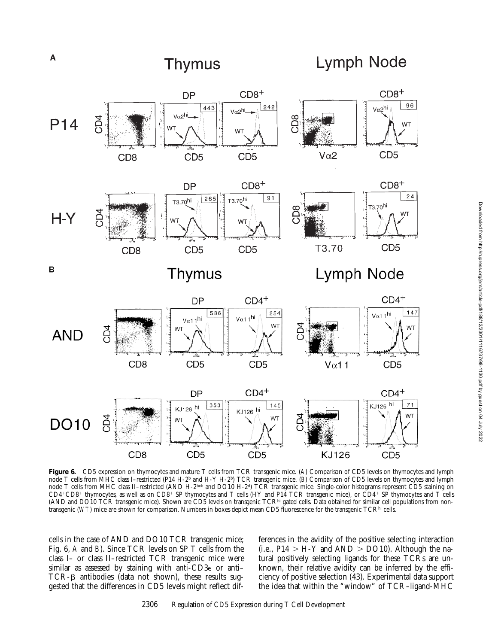

**Figure 6.** CD5 expression on thymocytes and mature T cells from TCR transgenic mice. (*A*) Comparison of CD5 levels on thymocytes and lymph node T cells from MHC class I–restricted (P14 H-2b and H-Y H-2b) TCR transgenic mice. (*B*) Comparison of CD5 levels on thymocytes and lymph node T cells from MHC class II–restricted (AND H-2bxk and DO10 H-2<sup>d</sup>) TCR transgenic mice. Single-color histograms represent CD5 staining on CD4+CD8+ thymocytes, as well as on CD8+ SP thymocytes and T cells (HY and P14 TCR transgenic mice), or CD4+ SP thymocytes and T cells (AND and DO10 TCR transgenic mice). Shown are CD5 levels on transgenic TCR<sup>hi</sup> gated cells. Data obtained for similar cell populations from nontransgenic (*WT*) mice are shown for comparison. Numbers in boxes depict mean CD5 fluorescence for the transgenic TCRhi cells.

cells in the case of AND and DO10 TCR transgenic mice; Fig. 6, *A* and *B*). Since TCR levels on SP T cells from the class I– or class II–restricted TCR transgenic mice were similar as assessed by staining with anti-CD3e or anti– TCR- $\beta$  antibodies (data not shown), these results suggested that the differences in CD5 levels might reflect differences in the avidity of the positive selecting interaction (i.e.,  $P14 > H-Y$  and  $AND > DO10$ ). Although the natural positively selecting ligands for these TCRs are unknown, their relative avidity can be inferred by the efficiency of positive selection (43). Experimental data support the idea that within the "window" of TCR–ligand-MHC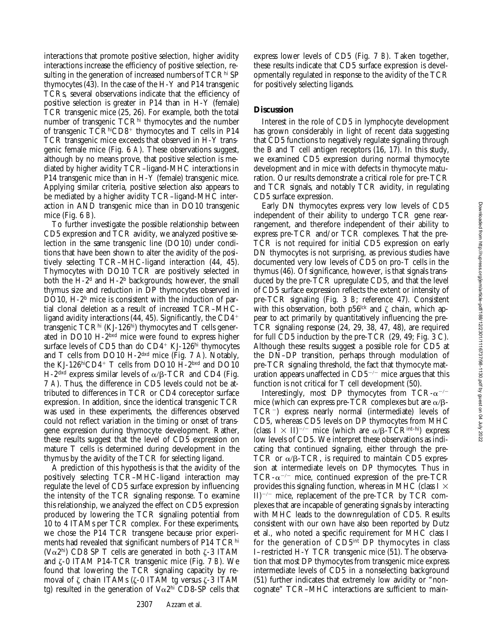interactions that promote positive selection, higher avidity interactions increase the efficiency of positive selection, resulting in the generation of increased numbers of TCR<sup>hi</sup> SP thymocytes (43). In the case of the H-Y and P14 transgenic TCRs, several observations indicate that the efficiency of positive selection is greater in P14 than in H-Y (female) TCR transgenic mice (25, 26). For example, both the total number of transgenic TCR<sup>hi</sup> thymocytes and the number of transgenic  $TCR<sup>hi</sup>CD8<sup>+</sup>$  thymocytes and T cells in P14 TCR transgenic mice exceeds that observed in H-Y transgenic female mice (Fig. 6 *A*). These observations suggest, although by no means prove, that positive selection is mediated by higher avidity TCR–ligand-MHC interactions in P14 transgenic mice than in H-Y (female) transgenic mice. Applying similar criteria, positive selection also appears to be mediated by a higher avidity TCR–ligand-MHC interaction in AND transgenic mice than in DO10 transgenic mice (Fig. 6 *B*).

To further investigate the possible relationship between CD5 expression and TCR avidity, we analyzed positive selection in the same transgenic line (DO10) under conditions that have been shown to alter the avidity of the positively selecting TCR–MHC-ligand interaction (44, 45). Thymocytes with DO10 TCR are positively selected in both the  $H-2<sup>d</sup>$  and  $H-2<sup>b</sup>$  backgrounds; however, the small thymus size and reduction in DP thymocytes observed in DO10, H-2<sup>b</sup> mice is consistent with the induction of partial clonal deletion as a result of increased TCR–MHCligand avidity interactions  $(44, 45)$ . Significantly, the CD4<sup>+</sup> transgenic  $TCR<sup>hi</sup>$  (KJ-126<sup>hi</sup>) thymocytes and  $T$  cells generated in DO10 H-2bxd mice were found to express higher surface levels of CD5 than do  $CD4+$  KJ-126hi thymocytes and T cells from DO10 H-2dxd mice (Fig. 7 *A*). Notably, the KJ-126hiCD4+ T cells from DO10 H-2bxd and DO10 H-2<sup>dxd</sup> express similar levels of  $\alpha/\beta$ -TCR and CD4 (Fig. 7 *A*). Thus, the difference in CD5 levels could not be attributed to differences in TCR or CD4 coreceptor surface expression. In addition, since the identical transgenic TCR was used in these experiments, the differences observed could not reflect variation in the timing or onset of transgene expression during thymocyte development. Rather, these results suggest that the level of CD5 expression on mature T cells is determined during development in the thymus by the avidity of the TCR for selecting ligand.

A prediction of this hypothesis is that the avidity of the positively selecting TCR–MHC-ligand interaction may regulate the level of CD5 surface expression by influencing the intensity of the TCR signaling response. To examine this relationship, we analyzed the effect on CD5 expression produced by lowering the TCR signaling potential from 10 to 4 ITAMs per TCR complex. For these experiments, we chose the P14 TCR transgene because prior experiments had revealed that significant numbers of P14 TCRhi (V $\alpha$ 2hi) CD8 SP T cells are generated in both  $\zeta$ -3 ITAM and z-0 ITAM P14-TCR transgenic mice (Fig. 7 *B*). We found that lowering the TCR signaling capacity by removal of  $\zeta$  chain ITAMs ( $\zeta$ -0 ITAM tg versus  $\zeta$ -3 ITAM tg) resulted in the generation of  $V\alpha2<sup>hi</sup>$  CD8-SP cells that

2307 Azzam et al.

express lower levels of CD5 (Fig. 7 *B*). Taken together, these results indicate that CD5 surface expression is developmentally regulated in response to the avidity of the TCR for positively selecting ligands.

## **Discussion**

Interest in the role of CD5 in lymphocyte development has grown considerably in light of recent data suggesting that CD5 functions to negatively regulate signaling through the B and T cell antigen receptors (16, 17). In this study, we examined CD5 expression during normal thymocyte development and in mice with defects in thymocyte maturation. Our results demonstrate a critical role for pre-TCR and TCR signals, and notably TCR avidity, in regulating CD5 surface expression.

Early DN thymocytes express very low levels of CD5 independent of their ability to undergo TCR gene rearrangement, and therefore independent of their ability to express pre-TCR and/or TCR complexes. That the pre-TCR is not required for initial CD5 expression on early DN thymocytes is not surprising, as previous studies have documented very low levels of CD5 on pro-T cells in the thymus (46). Of significance, however, is that signals transduced by the pre-TCR upregulate CD5, and that the level of CD5 surface expression reflects the extent or intensity of pre-TCR signaling (Fig. 3 *B*; reference 47). Consistent with this observation, both p56<sup>lck</sup> and  $\zeta$  chain, which appear to act primarily by quantitatively influencing the pre-TCR signaling response (24, 29, 38, 47, 48), are required for full CD5 induction by the pre-TCR (29, 49; Fig. 3 C). Although these results suggest a possible role for CD5 at the DN–DP transition, perhaps through modulation of pre-TCR signaling threshold, the fact that thymocyte maturation appears unaffected in  $CD5^{-/-}$  mice argues that this function is not critical for T cell development (50).

Interestingly, most DP thymocytes from TCR- $\alpha$ <sup>-/-</sup> mice (which can express pre-TCR complexes but are  $\alpha/\beta$ -TCR<sup>-</sup>) express nearly normal (intermediate) levels of CD5, whereas CD5 levels on DP thymocytes from MHC (class  $I \times II$ )<sup>-/-</sup> mice (which are  $\alpha/B-TCR^{int-hi}$ ) express low levels of CD5. We interpret these observations as indicating that continued signaling, either through the pre-TCR or  $\alpha$ / $\beta$ -TCR, is required to maintain CD5 expression at intermediate levels on DP thymocytes. Thus in TCR- $\alpha$ <sup>-/-</sup> mice, continued expression of the pre-TCR provides this signaling function, whereas in MHC (class  $I \times$  $II)^{-/-}$  mice, replacement of the pre-TCR by TCR complexes that are incapable of generating signals by interacting with MHC leads to the downregulation of CD5. Results consistent with our own have also been reported by Dutz et al., who noted a specific requirement for MHC class I for the generation of CD5int DP thymocytes in class I–restricted H-Y TCR transgenic mice (51). The observation that most DP thymocytes from transgenic mice express intermediate levels of CD5 in a nonselecting background (51) further indicates that extremely low avidity or "noncognate" TCR–MHC interactions are sufficient to main-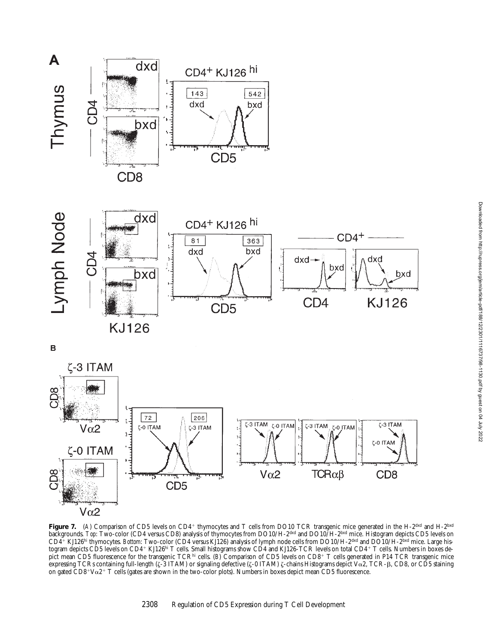



 $\mathbf B$ 



Figure 7. (A) Comparison of CD5 levels on CD4<sup>+</sup> thymocytes and T cells from DO10 TCR transgenic mice generated in the H-2<sup>dxd</sup> and H-2<sup>bxd</sup> backgrounds. *Top*: Two-color (CD4 versus CD8) analysis of thymocytes from DO10/H-2<sup>dxd</sup> and DO10/H-2<sup>bxd</sup> mice. Histogram depicts CD5 levels on CD41 KJ126hi thymocytes. *Bottom*: Two-color (CD4 versus KJ126) analysis of lymph node cells from DO10/H-2dxd and DO10/H-2bxd mice. Large histogram depicts CD5 levels on CD4+ KJ126hi T cells. Small histograms show CD4 and KJ126-TCR levels on total CD4+ T cells. Numbers in boxes depict mean CD5 fluorescence for the transgenic TCR<sup>hi</sup> cells. (*B*) Comparison of CD5 levels on CD8+ T cells generated in P14 TCR transgenic mice expressing TCRs containing full-length ( $\zeta$ -3 ITAM) or signaling defective ( $\zeta$ -0 ITAM)  $\zeta$ -chains Histograms depict V $\alpha$ 2, TCR- $\beta$ , CD8, or CD5 staining on gated  $CD8+V\alpha2+T$  cells (gates are shown in the two-color plots). Numbers in boxes depict mean CD5 fluorescence.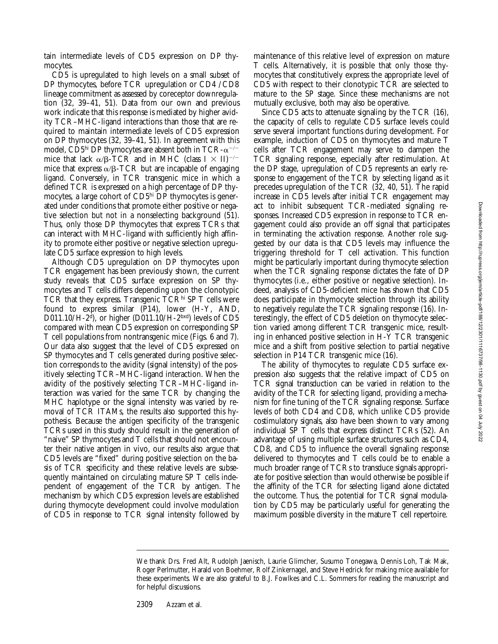tain intermediate levels of CD5 expression on DP thymocytes.

CD5 is upregulated to high levels on a small subset of DP thymocytes, before TCR upregulation or CD4 /CD8 lineage commitment as assessed by coreceptor downregulation (32, 39–41, 51). Data from our own and previous work indicate that this response is mediated by higher avidity TCR–MHC-ligand interactions than those that are required to maintain intermediate levels of CD5 expression on DP thymocytes (32, 39–41, 51). In agreement with this model, CD5<sup>hi</sup> DP thymocytes are absent both in TCR- $\alpha$ <sup>-/-</sup> mice that lack  $\alpha/\beta$ -TCR and in MHC (class I  $\times$  II)<sup>-/-</sup> mice that express  $\alpha$ / $\beta$ -TCR but are incapable of engaging ligand. Conversely, in TCR transgenic mice in which a defined TCR is expressed on a high percentage of DP thymocytes, a large cohort of CD5hi DP thymocytes is generated under conditions that promote either positive or negative selection but not in a nonselecting background (51). Thus, only those DP thymocytes that express TCRs that can interact with MHC-ligand with sufficiently high affinity to promote either positive or negative selection upregulate CD5 surface expression to high levels.

Although CD5 upregulation on DP thymocytes upon TCR engagement has been previously shown, the current study reveals that CD5 surface expression on SP thymocytes and T cells differs depending upon the clonotypic TCR that they express. Transgenic TCR $^{\text{hi}}$  SP T cells were found to express similar  $(\overline{P}14)$ , lower  $(H-Y, AND,$ D011.10/ $H$ -2<sup>d</sup>), or higher (D011.10/ $H$ -2<sup>bxd</sup>) levels of CD5 compared with mean CD5 expression on corresponding SP T cell populations from nontransgenic mice (Figs. 6 and 7). Our data also suggest that the level of CD5 expressed on SP thymocytes and T cells generated during positive selection corresponds to the avidity (signal intensity) of the positively selecting TCR–MHC-ligand interaction. When the avidity of the positively selecting TCR–MHC-ligand interaction was varied for the same TCR by changing the MHC haplotype or the signal intensity was varied by removal of TCR ITAMs, the results also supported this hypothesis. Because the antigen specificity of the transgenic TCRs used in this study should result in the generation of "naive" SP thymocytes and T cells that should not encounter their native antigen in vivo, our results also argue that CD5 levels are "fixed" during positive selection on the basis of TCR specificity and these relative levels are subsequently maintained on circulating mature SP T cells independent of engagement of the TCR by antigen. The mechanism by which CD5 expression levels are established during thymocyte development could involve modulation of CD5 in response to TCR signal intensity followed by

maintenance of this relative level of expression on mature T cells. Alternatively, it is possible that only those thymocytes that constitutively express the appropriate level of CD5 with respect to their clonotypic TCR are selected to mature to the SP stage. Since these mechanisms are not mutually exclusive, both may also be operative.

Since CD5 acts to attenuate signaling by the TCR (16), the capacity of cells to regulate CD5 surface levels could serve several important functions during development. For example, induction of CD5 on thymocytes and mature T cells after TCR engagement may serve to dampen the TCR signaling response, especially after restimulation. At the DP stage, upregulation of CD5 represents an early response to engagement of the TCR by selecting ligand as it precedes upregulation of the TCR (32, 40, 51). The rapid increase in CD5 levels after initial TCR engagement may act to inhibit subsequent TCR-mediated signaling responses. Increased CD5 expression in response to TCR engagement could also provide an off signal that participates in terminating the activation response. Another role suggested by our data is that CD5 levels may influence the triggering threshold for T cell activation. This function might be particularly important during thymocyte selection when the TCR signaling response dictates the fate of DP thymocytes (i.e., either positive or negative selection). Indeed, analysis of CD5-deficient mice has shown that CD5 does participate in thymocyte selection through its ability to negatively regulate the TCR signaling response (16). Interestingly, the effect of CD5 deletion on thymocyte selection varied among different TCR transgenic mice, resulting in enhanced positive selection in H-Y TCR transgenic mice and a shift from positive selection to partial negative selection in P14 TCR transgenic mice (16).

The ability of thymocytes to regulate CD5 surface expression also suggests that the relative impact of CD5 on TCR signal transduction can be varied in relation to the avidity of the TCR for selecting ligand, providing a mechanism for fine tuning of the TCR signaling response. Surface levels of both CD4 and CD8, which unlike CD5 provide costimulatory signals, also have been shown to vary among individual SP T cells that express distinct TCRs (52). An advantage of using multiple surface structures such as CD4, CD8, and CD5 to influence the overall signaling response delivered to thymocytes and T cells could be to enable a much broader range of TCRs to transduce signals appropriate for positive selection than would otherwise be possible if the affinity of the TCR for selecting ligand alone dictated the outcome. Thus, the potential for TCR signal modulation by CD5 may be particularly useful for generating the maximum possible diversity in the mature T cell repertoire.

2309 Azzam et al.

We thank Drs. Fred Alt, Rudolph Jaenisch, Laurie Glimcher, Susumo Tonegawa, Dennis Loh, Tak Mak, Roger Perlmutter, Harald von Boehmer, Rolf Zinkernagel, and Steve Hedrick for making mice available for these experiments. We are also grateful to B.J. Fowlkes and C.L. Sommers for reading the manuscript and for helpful discussions.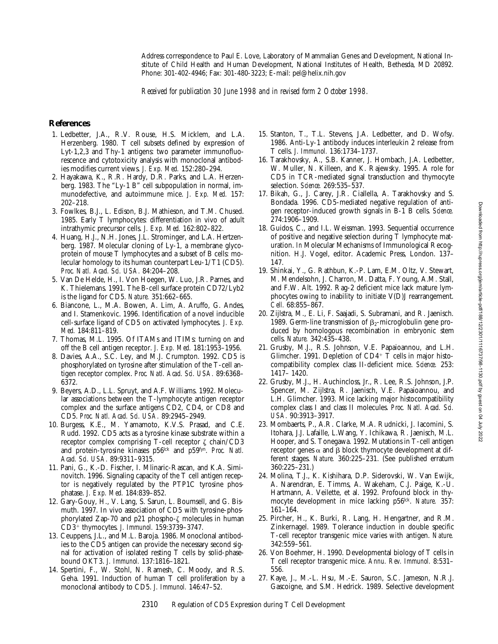Address correspondence to Paul E. Love, Laboratory of Mammalian Genes and Development, National Institute of Child Health and Human Development, National Institutes of Health, Bethesda, MD 20892. Phone: 301-402-4946; Fax: 301-480-3223; E-mail: pel@helix.nih.gov

*Received for publication 30 June 1998 and in revised form 2 October 1998.*

#### **References**

- 1. Ledbetter, J.A., R.V. Rouse, H.S. Micklem, and L.A. Herzenberg. 1980. T cell subsets defined by expression of Lyt-1,2,3 and Thy-1 antigens: two parameter immunofluorescence and cytotoxicity analysis with monoclonal antibodies modifies current views. *J. Exp. Med.* 152:280–294.
- 2. Hayakawa, K., R.R. Hardy, D.R. Parks, and L.A. Herzenberg. 1983. The "Ly-1 B" cell subpopulation in normal, immunodefective, and autoimmune mice. *J. Exp. Med.* 157: 202–218.
- 3. Fowlkes, B.J., L. Edison, B.J. Mathieson, and T.M. Chused. 1985. Early T lymphocytes: differentiation in vivo of adult intrathymic precursor cells. *J. Exp. Med.* 162:802–822.
- 4. Huang, H.J., N.H. Jones, J.L. Strominger, and L.A. Hertzenberg. 1987. Molecular cloning of Ly-1, a membrane glycoprotein of mouse T lymphocytes and a subset of B cells: molecular homology to its human counterpart Leu-1/T1 (CD5). *Proc. Natl. Acad. Sci. USA.* 84:204–208.
- 5. Van De Helde, H., I. Von Hoegen, W. Luo, J.R. Parnes, and K. Thielemans. 1991. The B-cell surface protein CD72/Lyb2 is the ligand for CD5. *Nature.* 351:662–665.
- 6. Biancone, L., M.A. Bowen, A. Lim, A. Aruffo, G. Andes, and I. Stamenkovic. 1996. Identification of a novel inducible cell-surface ligand of CD5 on activated lymphocytes. *J. Exp. Med.* 184:811–819.
- 7. Thomas, M.L. 1995. Of ITAMs and ITIMs: turning on and off the B cell antigen receptor. *J. Exp. Med.* 181:1953–1956.
- 8. Davies, A.A., S.C. Ley, and M.J. Crumpton. 1992. CD5 is phosphorylated on tyrosine after stimulation of the T-cell antigen receptor complex. *Proc. Natl. Acad. Sci. USA.* 89:6368– 6372.
- 9. Beyers, A.D., L.L. Spruyt, and A.F. Williams. 1992. Molecular associations between the T-lymphocyte antigen receptor complex and the surface antigens CD2, CD4, or CD8 and CD5. *Proc. Natl. Acad. Sci. USA.* 89:2945–2949.
- 10. Burgess, K.E., M. Yamamoto, K.V.S. Prasad, and C.E. Rudd. 1992. CD5 acts as a tyrosine kinase substrate within a receptor complex comprising T-cell receptor  $\zeta$  chain/CD3 and protein-tyrosine kinases p56lck and p59fyn. *Proc. Natl. Acad. Sci. USA.* 89:9311–9315.
- 11. Pani, G., K.-D. Fischer, I. Mlinaric-Rascan, and K.A. Siminovitch. 1996. Signaling capacity of the T cell antigen receptor is negatively regulated by the PTP1C tyrosine phosphatase. *J. Exp. Med.* 184:839–852.
- 12. Gary-Gouy, H., V. Lang, S. Sarun, L. Boumsell, and G. Bismuth. 1997. In vivo association of CD5 with tyrosine-phosphorylated Zap-70 and p21 phospho- $\zeta$  molecules in human CD3<sup>1</sup> thymocytes. *J. Immunol.* 159:3739–3747.
- 13. Ceuppens, J.L., and M.L. Baroja. 1986. Monoclonal antibodies to the CD5 antigen can provide the necessary second signal for activation of isolated resting T cells by solid-phasebound OKT3. *J. Immunol.* 137:1816–1821.
- 14. Spertini, F., W. Stohl, N. Ramesh, C. Moody, and R.S. Geha. 1991. Induction of human T cell proliferation by a monoclonal antibody to CD5. *J. Immunol.* 146:47–52.
- 15. Stanton, T., T.L. Stevens, J.A. Ledbetter, and D. Wofsy. 1986. Anti-Ly-1 antibody induces interleukin 2 release from T cells. *J. Immunol.* 136:1734–1737.
- 16. Tarakhovsky, A., S.B. Kanner, J. Hombach, J.A. Ledbetter, W. Muller, N. Killeen, and K. Rajewsky. 1995. A role for CD5 in TCR-mediated signal transduction and thymocyte selection. *Science.* 269:535–537.
- 17. Bikah, G., J. Carey, J.R. Ciallella, A. Tarakhovsky and S. Bondada. 1996. CD5-mediated negative regulation of antigen receptor-induced growth signals in B-1 B cells. *Science.* 274:1906–1909.
- 18. Guidos, C., and I.L. Weissman. 1993. Sequential occurrence of positive and negative selection during T lymphocyte maturation. *In* Molecular Mechanisms of Immunological Recognition. H.J. Vogel, editor. Academic Press, London. 137– 147.
- 19. Shinkai, Y., G. Rathbun, K.-P. Lam, E.M. Oltz, V. Stewart, M. Mendelsohn, J. Charron, M. Datta, F. Young, A.M. Stall, and F.W. Alt. 1992. Rag-2 deficient mice lack mature lymphocytes owing to inability to initiate V(D)J rearrangement. *Cell.* 68:855–867.
- 20. Zijlstra, M., E. Li, F. Saajadi, S. Subramani, and R. Jaenisch. 1989. Germ-line transmission of  $\beta_2$ -microglobulin gene produced by homologous recombination in embryonic stem cells. *Nature.* 342:435–438.
- 21. Grusby, M.J., R.S. Johnson, V.E. Papaioannou, and L.H. Glimcher. 1991. Depletion of  $CD4^+$  T cells in major histocompatibility complex class II-deficient mice. *Science.* 253: 1417– 1420.
- 22. Grusby, M.J., H. Auchincloss, Jr., R. Lee, R.S. Johnson, J.P. Spencer, M. Zijlstra, R. Jaenisch, V.E. Papaioannou, and L.H. Glimcher. 1993. Mice lacking major histocompatibility complex class I and class II molecules. *Proc. Natl. Acad. Sci. USA.* 90:3913–3917.
- 23. Mombaerts, P., A.R. Clarke, M.A. Rudnicki, J. Iacomini, S. Itohara, J.J. Lafaille, L.Wang, Y. Ichikawa, R. Jaenisch, M.L. Hooper, and S. Tonegawa. 1992. Mutations in T-cell antigen receptor genes  $\alpha$  and  $\beta$  block thymocyte development at different stages. *Nature.* 360:225–231. (See published erratum 360:225–231.)
- 24. Molina, T.J., K. Kishihara, D.P. Siderovski, W. Van Ewijk, A. Narendran, E. Timms, A. Wakeham, C.J. Paige, K.-U. Hartmann, A. Veilette, et al. 1992. Profound block in thymocyte development in mice lacking p56<sup>lck</sup>. Nature. 357: 161–164.
- 25. Pircher, H., K. Burki, R. Lang, H. Hengartner, and R.M. Zinkernagel. 1989. Tolerance induction in double specific T-cell receptor transgenic mice varies with antigen. *Nature.* 342:559–561.
- 26. Von Boehmer, H. 1990. Developmental biology of T cells in T cell receptor transgenic mice. *Annu. Rev. Immunol.* 8:531– 556.
- 27. Kaye, J., M.-L. Hsu, M.-E. Sauron, S.C. Jameson, N.R.J. Gascoigne, and S.M. Hedrick. 1989. Selective development